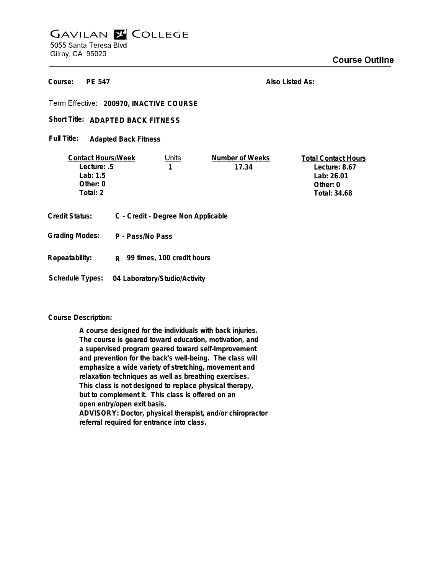# **GAVILAN E COLLEGE** 5055 Santa Teresa Blvd Gilroy, CA 95020

**PE 547 Course:**

**Also Listed As:**

**200970, INACTIVE COURSE**

## Short Title: ADAPTED BACK FITNESS

**Adapted Back Fitness Full Title:**

| <b>Contact Hours/Week</b> |  | Units                              | Number of Weeks | <b>Total Contact Hours</b> |
|---------------------------|--|------------------------------------|-----------------|----------------------------|
| Lecture: .5               |  |                                    | 17.34           | Lecture: $8.67$            |
| Lab: $1.5$                |  |                                    |                 | Lab: 26.01                 |
| Other: 0                  |  |                                    |                 | Other: 0                   |
| Total: 2                  |  |                                    |                 | Total: 34.68               |
|                           |  |                                    |                 |                            |
| Credit Status:            |  | C - Credit - Degree Non Applicable |                 |                            |

**P - Pass/No Pass Grading Modes:**

**Repeatability: R 99 times, 100 credit hours**

**Schedule Types: 04 Laboratory/Studio/Activity**

## **Course Description:**

**A course designed for the individuals with back injuries. The course is geared toward education, motivation, and a supervised program geared toward self-Improvement and prevention for the back's well-being. The class will emphasize a wide variety of stretching, movement and relaxation techniques as well as breathing exercises. This class is not designed to replace physical therapy, but to complement it. This class is offered on an open entry/open exit basis. ADVISORY: Doctor, physical therapist, and/or chiropractor referral required for entrance into class.**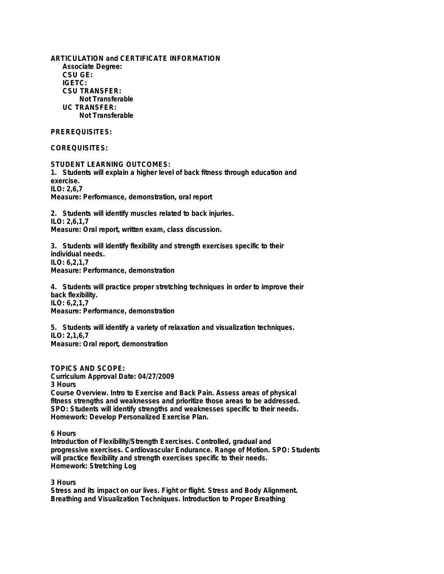**ARTICULATION and CERTIFICATE INFORMATION Associate Degree: CSU GE: IGETC: CSU TRANSFER: Not Transferable UC TRANSFER: Not Transferable**

## **PREREQUISITES:**

**COREQUISITES:**

**STUDENT LEARNING OUTCOMES: 1. Students will explain a higher level of back fitness through education and exercise. ILO: 2,6,7 Measure: Performance, demonstration, oral report**

**2. Students will identify muscles related to back injuries. ILO: 2,6,1,7 Measure: Oral report, written exam, class discussion.**

**3. Students will identify flexibility and strength exercises specific to their individual needs. ILO: 6,2,1,7 Measure: Performance, demonstration**

**4. Students will practice proper stretching techniques in order to improve their back flexibility. ILO: 6,2,1,7 Measure: Performance, demonstration**

**5. Students will identify a variety of relaxation and visualization techniques. ILO: 2,1,6,7 Measure: Oral report, demonstration**

**TOPICS AND SCOPE:**

**Curriculum Approval Date: 04/27/2009**

**3 Hours**

**Course Overview. Intro to Exercise and Back Pain. Assess areas of physical fitness strengths and weaknesses and prioritize those areas to be addressed. SPO: Students will identify strengths and weaknesses specific to their needs. Homework: Develop Personalized Exercise Plan.**

**6 Hours**

**Introduction of Flexibility/Strength Exercises. Controlled, gradual and progressive exercises. Cardiovascular Endurance. Range of Motion. SPO: Students will practice flexibility and strength exercises specific to their needs. Homework: Stretching Log**

**3 Hours**

**Stress and its impact on our lives. Fight or flight. Stress and Body Alignment. Breathing and Visualization Techniques. Introduction to Proper Breathing**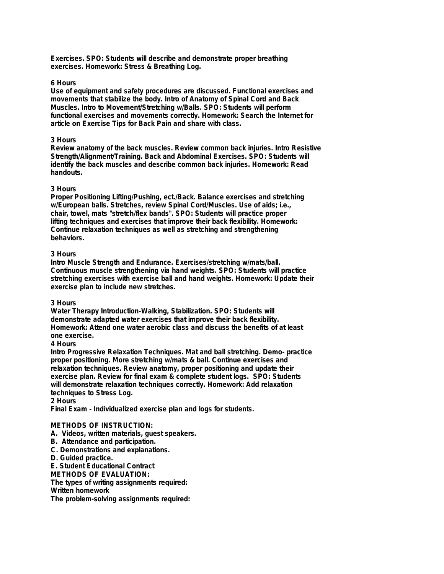**Exercises. SPO: Students will describe and demonstrate proper breathing exercises. Homework: Stress & Breathing Log.**

#### **6 Hours**

**Use of equipment and safety procedures are discussed. Functional exercises and movements that stabilize the body. Intro of Anatomy of Spinal Cord and Back Muscles. Intro to Movement/Stretching w/Balls. SPO: Students will perform functional exercises and movements correctly. Homework: Search the Internet for article on Exercise Tips for Back Pain and share with class.**

#### **3 Hours**

**Review anatomy of the back muscles. Review common back injuries. Intro Resistive Strength/Alignment/Training. Back and Abdominal Exercises. SPO: Students will identify the back muscles and describe common back injuries. Homework: Read handouts.**

#### **3 Hours**

**Proper Positioning Lifting/Pushing, ect./Back. Balance exercises and stretching w/European balls. Stretches, review Spinal Cord/Muscles. Use of aids; i.e., chair, towel, mats "stretch/flex bands". SPO: Students will practice proper lifting techniques and exercises that improve their back flexibility. Homework: Continue relaxation techniques as well as stretching and strengthening behaviors.**

#### **3 Hours**

**Intro Muscle Strength and Endurance. Exercises/stretching w/mats/ball. Continuous muscle strengthening via hand weights. SPO: Students will practice stretching exercises with exercise ball and hand weights. Homework: Update their exercise plan to include new stretches.**

## **3 Hours**

**Water Therapy Introduction-Walking, Stabilization. SPO: Students will demonstrate adapted water exercises that improve their back flexibility. Homework: Attend one water aerobic class and discuss the benefits of at least one exercise.**

## **4 Hours**

**Intro Progressive Relaxation Techniques. Mat and ball stretching. Demo- practice proper positioning. More stretching w/mats & ball. Continue exercises and relaxation techniques. Review anatomy, proper positioning and update their exercise plan. Review for final exam & complete student logs. SPO: Students will demonstrate relaxation techniques correctly. Homework: Add relaxation techniques to Stress Log.**

**2 Hours**

**Final Exam - Individualized exercise plan and logs for students.**

## **METHODS OF INSTRUCTION:**

- **A. Videos, written materials, guest speakers.**
- **B. Attendance and participation.**
- **C. Demonstrations and explanations.**
- **D. Guided practice.**

**E. Student Educational Contract**

**METHODS OF EVALUATION:**

**The types of writing assignments required:**

**Written homework**

**The problem-solving assignments required:**